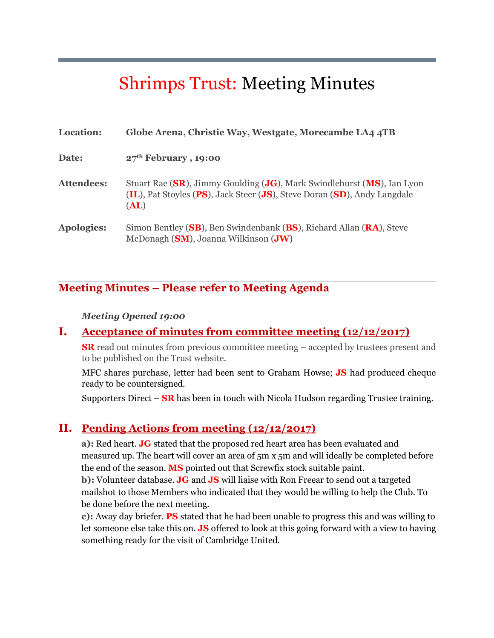# Shrimps Trust: Meeting Minutes

| Location:         | Globe Arena, Christie Way, Westgate, Morecambe LA4 4TB                                                                                                     |
|-------------------|------------------------------------------------------------------------------------------------------------------------------------------------------------|
| Date:             | $27th$ February , 19:00                                                                                                                                    |
| <b>Attendees:</b> | Stuart Rae (SR), Jimmy Goulding (JG), Mark Swindlehurst (MS), Ian Lyon<br>(IL), Pat Stoyles (PS), Jack Steer (JS), Steve Doran (SD), Andy Langdale<br>(AL) |
| <b>Apologies:</b> | Simon Bentley (SB), Ben Swindenbank (BS), Richard Allan (RA), Steve<br>McDonagh (SM), Joanna Wilkinson (JW)                                                |

# **Meeting Minutes – Please refer to Meeting Agenda**

#### *Meeting Opened 19:00*

#### **I. Acceptance of minutes from committee meeting (12/12/2017)**

**SR** read out minutes from previous committee meeting – accepted by trustees present and to be published on the Trust website.

MFC shares purchase, letter had been sent to Graham Howse; **JS** had produced cheque ready to be countersigned.

Supporters Direct – **SR** has been in touch with Nicola Hudson regarding Trustee training.

# **II. Pending Actions from meeting (12/12/2017)**

**a):** Red heart. **JG** stated that the proposed red heart area has been evaluated and measured up. The heart will cover an area of 5m x 5m and will ideally be completed before the end of the season. **MS** pointed out that Screwfix stock suitable paint.

**b):** Volunteer database. **JG** and **JS** will liaise with Ron Freear to send out a targeted mailshot to those Members who indicated that they would be willing to help the Club. To be done before the next meeting.

**c):** Away day briefer. **PS** stated that he had been unable to progress this and was willing to let someone else take this on. **JS** offered to look at this going forward with a view to having something ready for the visit of Cambridge United.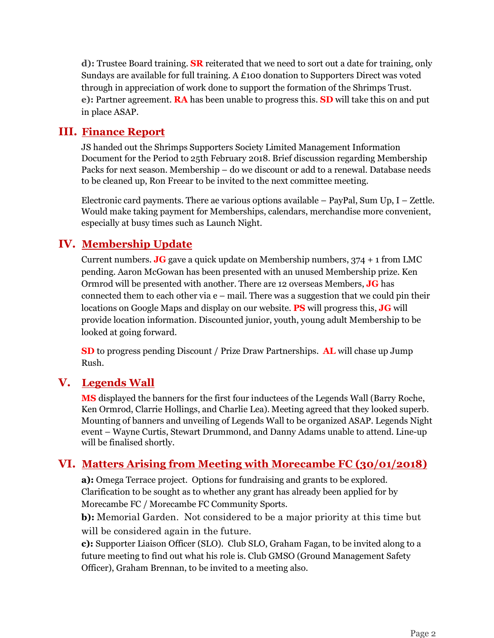**d):** Trustee Board training. **SR** reiterated that we need to sort out a date for training, only Sundays are available for full training. A £100 donation to Supporters Direct was voted through in appreciation of work done to support the formation of the Shrimps Trust. **e):** Partner agreement. **RA** has been unable to progress this. **SD** will take this on and put in place ASAP.

# **III. Finance Report**

JS handed out the Shrimps Supporters Society Limited Management Information Document for the Period to 25th February 2018. Brief discussion regarding Membership Packs for next season. Membership – do we discount or add to a renewal. Database needs to be cleaned up, Ron Freear to be invited to the next committee meeting.

Electronic card payments. There ae various options available – PayPal, Sum Up, I – Zettle. Would make taking payment for Memberships, calendars, merchandise more convenient, especially at busy times such as Launch Night.

# **IV. Membership Update**

Current numbers. **JG** gave a quick update on Membership numbers, 374 + 1 from LMC pending. Aaron McGowan has been presented with an unused Membership prize. Ken Ormrod will be presented with another. There are 12 overseas Members, **JG** has connected them to each other via e – mail. There was a suggestion that we could pin their locations on Google Maps and display on our website. **PS** will progress this, **JG** will provide location information. Discounted junior, youth, young adult Membership to be looked at going forward.

**SD** to progress pending Discount / Prize Draw Partnerships. **AL** will chase up Jump Rush.

# **V. Legends Wall**

**MS** displayed the banners for the first four inductees of the Legends Wall (Barry Roche, Ken Ormrod, Clarrie Hollings, and Charlie Lea). Meeting agreed that they looked superb. Mounting of banners and unveiling of Legends Wall to be organized ASAP. Legends Night event – Wayne Curtis, Stewart Drummond, and Danny Adams unable to attend. Line-up will be finalised shortly.

# **VI. Matters Arising from Meeting with Morecambe FC (30/01/2018)**

**a):** Omega Terrace project. Options for fundraising and grants to be explored. Clarification to be sought as to whether any grant has already been applied for by Morecambe FC / Morecambe FC Community Sports.

**b):** Memorial Garden. Not considered to be a major priority at this time but will be considered again in the future.

**c):** Supporter Liaison Officer (SLO). Club SLO, Graham Fagan, to be invited along to a future meeting to find out what his role is. Club GMSO (Ground Management Safety Officer), Graham Brennan, to be invited to a meeting also.